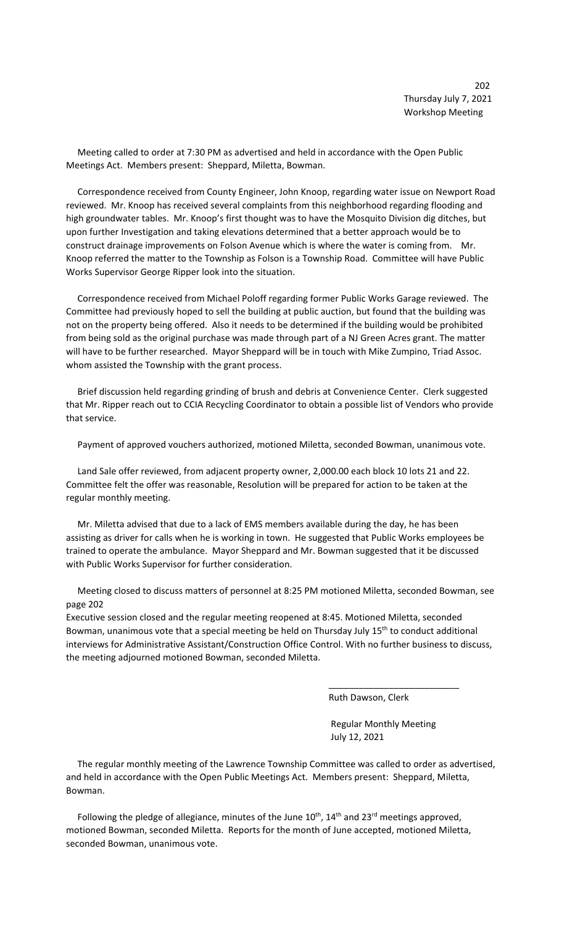Meeting called to order at 7:30 PM as advertised and held in accordance with the Open Public Meetings Act. Members present: Sheppard, Miletta, Bowman.

 Correspondence received from County Engineer, John Knoop, regarding water issue on Newport Road reviewed. Mr. Knoop has received several complaints from this neighborhood regarding flooding and high groundwater tables. Mr. Knoop's first thought was to have the Mosquito Division dig ditches, but upon further Investigation and taking elevations determined that a better approach would be to construct drainage improvements on Folson Avenue which is where the water is coming from. Mr. Knoop referred the matter to the Township as Folson is a Township Road. Committee will have Public Works Supervisor George Ripper look into the situation.

 Correspondence received from Michael Poloff regarding former Public Works Garage reviewed. The Committee had previously hoped to sell the building at public auction, but found that the building was not on the property being offered. Also it needs to be determined if the building would be prohibited from being sold as the original purchase was made through part of a NJ Green Acres grant. The matter will have to be further researched. Mayor Sheppard will be in touch with Mike Zumpino, Triad Assoc. whom assisted the Township with the grant process.

 Brief discussion held regarding grinding of brush and debris at Convenience Center. Clerk suggested that Mr. Ripper reach out to CCIA Recycling Coordinator to obtain a possible list of Vendors who provide that service.

Payment of approved vouchers authorized, motioned Miletta, seconded Bowman, unanimous vote.

 Land Sale offer reviewed, from adjacent property owner, 2,000.00 each block 10 lots 21 and 22. Committee felt the offer was reasonable, Resolution will be prepared for action to be taken at the regular monthly meeting.

 Mr. Miletta advised that due to a lack of EMS members available during the day, he has been assisting as driver for calls when he is working in town. He suggested that Public Works employees be trained to operate the ambulance. Mayor Sheppard and Mr. Bowman suggested that it be discussed with Public Works Supervisor for further consideration.

 Meeting closed to discuss matters of personnel at 8:25 PM motioned Miletta, seconded Bowman, see page 202

Executive session closed and the regular meeting reopened at 8:45. Motioned Miletta, seconded Bowman, unanimous vote that a special meeting be held on Thursday July 15<sup>th</sup> to conduct additional interviews for Administrative Assistant/Construction Office Control. With no further business to discuss, the meeting adjourned motioned Bowman, seconded Miletta.

 $\overline{\phantom{a}}$  , and the contract of the contract of the contract of the contract of the contract of the contract of the contract of the contract of the contract of the contract of the contract of the contract of the contrac

Ruth Dawson, Clerk

 Regular Monthly Meeting July 12, 2021

 The regular monthly meeting of the Lawrence Township Committee was called to order as advertised, and held in accordance with the Open Public Meetings Act. Members present: Sheppard, Miletta, Bowman.

Following the pledge of allegiance, minutes of the June  $10^{th}$ ,  $14^{th}$  and  $23^{rd}$  meetings approved, motioned Bowman, seconded Miletta. Reports for the month of June accepted, motioned Miletta, seconded Bowman, unanimous vote.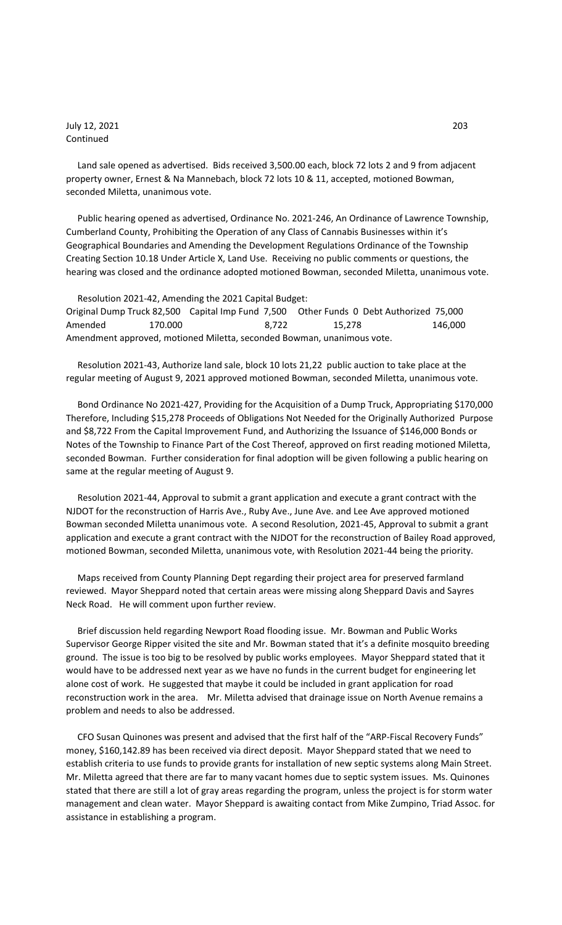July 12, 2021 203 Continued

 Land sale opened as advertised. Bids received 3,500.00 each, block 72 lots 2 and 9 from adjacent property owner, Ernest & Na Mannebach, block 72 lots 10 & 11, accepted, motioned Bowman, seconded Miletta, unanimous vote.

 Public hearing opened as advertised, Ordinance No. 2021-246, An Ordinance of Lawrence Township, Cumberland County, Prohibiting the Operation of any Class of Cannabis Businesses within it's Geographical Boundaries and Amending the Development Regulations Ordinance of the Township Creating Section 10.18 Under Article X, Land Use. Receiving no public comments or questions, the hearing was closed and the ordinance adopted motioned Bowman, seconded Miletta, unanimous vote.

 Resolution 2021-42, Amending the 2021 Capital Budget: Original Dump Truck 82,500 Capital Imp Fund 7,500 Other Funds 0 Debt Authorized 75,000 Amended 170.000 8,722 15,278 146,000 Amendment approved, motioned Miletta, seconded Bowman, unanimous vote.

 Resolution 2021-43, Authorize land sale, block 10 lots 21,22 public auction to take place at the regular meeting of August 9, 2021 approved motioned Bowman, seconded Miletta, unanimous vote.

 Bond Ordinance No 2021-427, Providing for the Acquisition of a Dump Truck, Appropriating \$170,000 Therefore, Including \$15,278 Proceeds of Obligations Not Needed for the Originally Authorized Purpose and \$8,722 From the Capital Improvement Fund, and Authorizing the Issuance of \$146,000 Bonds or Notes of the Township to Finance Part of the Cost Thereof, approved on first reading motioned Miletta, seconded Bowman. Further consideration for final adoption will be given following a public hearing on same at the regular meeting of August 9.

 Resolution 2021-44, Approval to submit a grant application and execute a grant contract with the NJDOT for the reconstruction of Harris Ave., Ruby Ave., June Ave. and Lee Ave approved motioned Bowman seconded Miletta unanimous vote. A second Resolution, 2021-45, Approval to submit a grant application and execute a grant contract with the NJDOT for the reconstruction of Bailey Road approved, motioned Bowman, seconded Miletta, unanimous vote, with Resolution 2021-44 being the priority.

 Maps received from County Planning Dept regarding their project area for preserved farmland reviewed. Mayor Sheppard noted that certain areas were missing along Sheppard Davis and Sayres Neck Road. He will comment upon further review.

 Brief discussion held regarding Newport Road flooding issue. Mr. Bowman and Public Works Supervisor George Ripper visited the site and Mr. Bowman stated that it's a definite mosquito breeding ground. The issue is too big to be resolved by public works employees. Mayor Sheppard stated that it would have to be addressed next year as we have no funds in the current budget for engineering let alone cost of work. He suggested that maybe it could be included in grant application for road reconstruction work in the area. Mr. Miletta advised that drainage issue on North Avenue remains a problem and needs to also be addressed.

 CFO Susan Quinones was present and advised that the first half of the "ARP-Fiscal Recovery Funds" money, \$160,142.89 has been received via direct deposit. Mayor Sheppard stated that we need to establish criteria to use funds to provide grants for installation of new septic systems along Main Street. Mr. Miletta agreed that there are far to many vacant homes due to septic system issues. Ms. Quinones stated that there are still a lot of gray areas regarding the program, unless the project is for storm water management and clean water. Mayor Sheppard is awaiting contact from Mike Zumpino, Triad Assoc. for assistance in establishing a program.